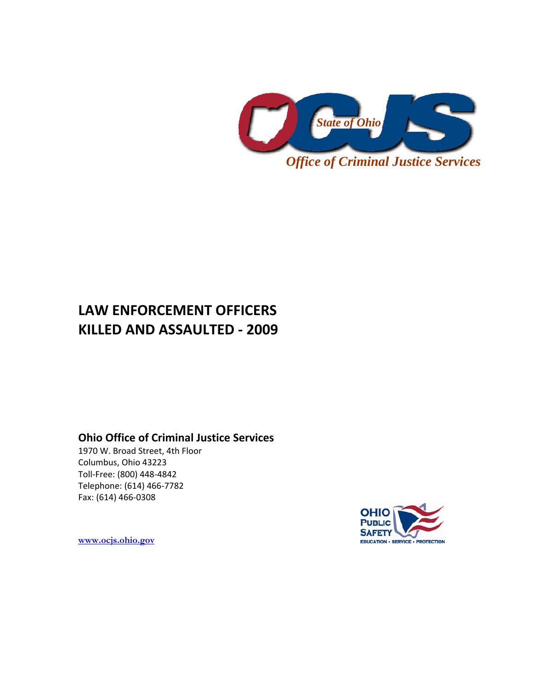

# **LAW ENFORCEMENT OFFICERS KILLED AND ASSAULTED ‐ 2009**

# **Ohio Office of Criminal Justice Services**

1970 W. Broad Street, 4th Floor Columbus, Ohio 43223 Toll‐Free: (800) 448‐4842 Telephone: (614) 466‐7782 Fax: (614) 466‐0308



**[www.ocjs.ohio.gov](http://www.ocjs.ohio.gov/)**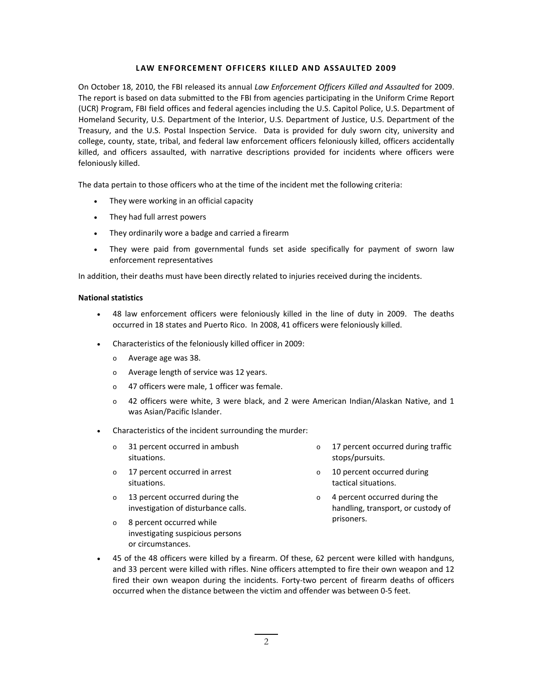# **LAW ENFORCEMENT OFFICERS KILLED AND ASSAULTED 2009**

On October 18, 2010, the FBI released its annual *Law Enforcement Officers Killed and Assaulted* for 2009. The report is based on data submitted to the FBI from agencies participating in the Uniform Crime Report (UCR) Program, FBI field offices and federal agencies including the U.S. Capitol Police, U.S. Department of Homeland Security, U.S. Department of the Interior, U.S. Department of Justice, U.S. Department of the Treasury, and the U.S. Postal Inspection Service. Data is provided for duly sworn city, university and college, county, state, tribal, and federal law enforcement officers feloniously killed, officers accidentally killed, and officers assaulted, with narrative descriptions provided for incidents where officers were feloniously killed.

The data pertain to those officers who at the time of the incident met the following criteria:

- They were working in an official capacity
- They had full arrest powers
- They ordinarily wore a badge and carried a firearm
- They were paid from governmental funds set aside specifically for payment of sworn law enforcement representatives

In addition, their deaths must have been directly related to injuries received during the incidents.

#### **National statistics**

- 48 law enforcement officers were feloniously killed in the line of duty in 2009. The deaths occurred in 18 states and Puerto Rico. In 2008, 41 officers were feloniously killed.
- Characteristics of the feloniously killed officer in 2009:
	- o Average age was 38.
	- o Average length of service was 12 years.
	- o 47 officers were male, 1 officer was female.
	- o 42 officers were white, 3 were black, and 2 were American Indian/Alaskan Native, and 1 was Asian/Pacific Islander.
- Characteristics of the incident surrounding the murder:
	- o 31 percent occurred in ambush situations.
	- o 17 percent occurred in arrest situations.
	- o 13 percent occurred during the investigation of disturbance calls.
- o 17 percent occurred during traffic stops/pursuits.
- o 10 percent occurred during tactical situations.
- o 4 percent occurred during the handling, transport, or custody of prisoners.
- o 8 percent occurred while investigating suspicious persons or circumstances.
- 45 of the 48 officers were killed by a firearm. Of these, 62 percent were killed with handguns, and 33 percent were killed with rifles. Nine officers attempted to fire their own weapon and 12 fired their own weapon during the incidents. Forty-two percent of firearm deaths of officers occurred when the distance between the victim and offender was between 0‐5 feet.